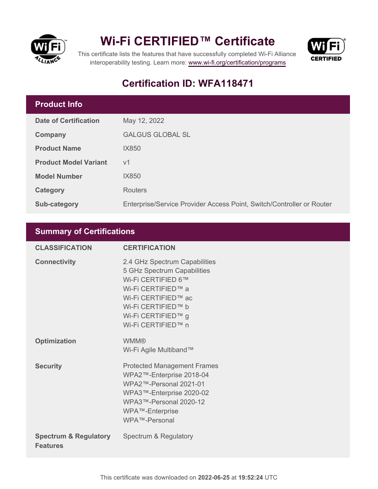

## **Wi-Fi CERTIFIED™ Certificate**



This certificate lists the features that have successfully completed Wi-Fi Alliance interoperability testing. Learn more:<www.wi-fi.org/certification/programs>

## **Certification ID: WFA118471**

## **Product Info**

| <b>Date of Certification</b> | May 12, 2022                                                          |
|------------------------------|-----------------------------------------------------------------------|
| Company                      | <b>GALGUS GLOBAL SL</b>                                               |
| <b>Product Name</b>          | IX850                                                                 |
| <b>Product Model Variant</b> | V <sub>1</sub>                                                        |
| <b>Model Number</b>          | IX850                                                                 |
| <b>Category</b>              | <b>Routers</b>                                                        |
| <b>Sub-category</b>          | Enterprise/Service Provider Access Point, Switch/Controller or Router |

## **Summary of Certifications**

| <b>CLASSIFICATION</b>                               | <b>CERTIFICATION</b>                                                                                                                                                                              |
|-----------------------------------------------------|---------------------------------------------------------------------------------------------------------------------------------------------------------------------------------------------------|
| <b>Connectivity</b>                                 | 2.4 GHz Spectrum Capabilities<br>5 GHz Spectrum Capabilities<br>Wi-Fi CERTIFIED 6™<br>Wi-Fi CERTIFIED™ a<br>Wi-Fi CERTIFIED™ ac<br>Wi-Fi CERTIFIED™ b<br>Wi-Fi CERTIFIED™ g<br>Wi-Fi CERTIFIED™ n |
| <b>Optimization</b>                                 | <b>WMM®</b><br>Wi-Fi Agile Multiband™                                                                                                                                                             |
| <b>Security</b>                                     | <b>Protected Management Frames</b><br>WPA2™-Enterprise 2018-04<br>WPA2™-Personal 2021-01<br>WPA3™-Enterprise 2020-02<br>WPA3™-Personal 2020-12<br>WPA™-Enterprise<br>WPA™-Personal                |
| <b>Spectrum &amp; Regulatory</b><br><b>Features</b> | Spectrum & Regulatory                                                                                                                                                                             |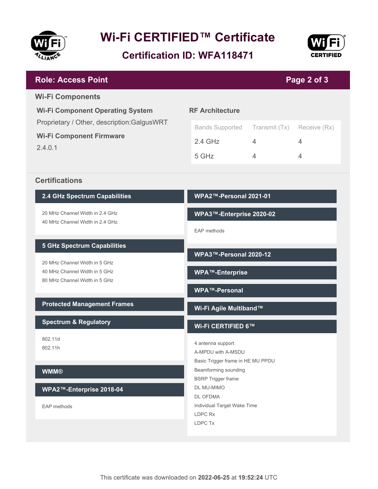

# **Wi-Fi CERTIFIED™ Certificate**

**Certification ID: WFA118471**



### **WPA2™-Personal 2021-01 WPA3™-Enterprise 2020-02** EAP methods **WPA3™-Personal 2020-12 WPA™-Enterprise WPA™-Personal Wi-Fi Agile Multiband™ Wi-Fi CERTIFIED 6™** 4 antenna support A-MPDU with A-MSDU Basic Trigger frame in HE MU PPDU Beamforming sounding BSRP Trigger frame DL MU-MIMO DL OFDMA Individual Target Wake Time LDPC Rx LDPC Tx **2.4 GHz Spectrum Capabilities** 20 MHz Channel Width in 2.4 GHz 40 MHz Channel Width in 2.4 GHz **5 GHz Spectrum Capabilities** 20 MHz Channel Width in 5 GHz 40 MHz Channel Width in 5 GHz 80 MHz Channel Width in 5 GHz **Protected Management Frames Spectrum & Regulatory** 802.11d 802.11h **WMM® WPA2™-Enterprise 2018-04** EAP methods **RF Architecture** Bands Supported Transmit (Tx) Receive (Rx) 2.4 GHz 4 4 5 GHz 4 4 **Wi-Fi Component Operating System** Proprietary / Other, description:GalgusWRT **Wi-Fi Component Firmware** 2.4.0.1 **Page 2 of 3 Role: Access Point Wi-Fi Components Certifications**